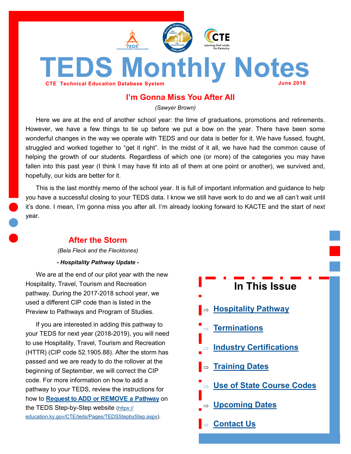<span id="page-0-0"></span>

## **I'm Gonna Miss You After All**

*(Sawyer Brown)*

Here we are at the end of another school year: the time of graduations, promotions and retirements. However, we have a few things to tie up before we put a bow on the year. There have been some wonderful changes in the way we operate with TEDS and our data is better for it. We have fussed, fought, struggled and worked together to "get it right". In the midst of it all, we have had the common cause of helping the growth of our students. Regardless of which one (or more) of the categories you may have fallen into this past year (I think I may have fit into all of them at one point or another), we survived and, hopefully, our kids are better for it.

This is the last monthly memo of the school year. It is full of important information and guidance to help you have a successful closing to your TEDS data. I know we still have work to do and we all can't wait until it's done. I mean, I'm gonna miss you after all. I'm already looking forward to KACTE and the start of next year.

## **After the Storm**

*(Bela Fleck and the Flecktones)*

*- Hospitality Pathway Update -*

We are at the end of our pilot year with the new Hospitality, Travel, Tourism and Recreation pathway. During the 2017-2018 school year, we used a different CIP code than is listed in the Preview to Pathways and Program of Studies.

If you are interested in adding this pathway to your TEDS for next year (2018-2019), you will need to use Hospitality, Travel, Tourism and Recreation (HTTR) (CIP code 52.1905.88). After the storm has passed and we are ready to do the rollover at the beginning of September, we will correct the CIP code. For more information on how to add a pathway to your TEDS, review the instructions for how to **[Request to ADD or REMOVE a Pathway](https://education.ky.gov/CTE/teds/Documents/Add-Remove_Existing_Pathway_in_TEDS.pdf)** on the TEDS Step-by-Step website ([https://](https://education.ky.gov/CTE/teds/Pages/TEDSStepbyStep.aspx) [education.ky.gov/CTE/teds/Pages/TEDSStepbyStep.aspx\).](https://education.ky.gov/CTE/teds/Pages/TEDSStepbyStep.aspx)

| In This Issue                             |
|-------------------------------------------|
| $\blacktriangleright$ Hospitality Pathway |
| $\Rightarrow$ Terminations                |
| $\Rightarrow$ Industry Certifications     |
| $\Rightarrow$ Training Dates              |
| ■⇒ Use of State Course Codes              |
| _⇒ Upcoming Dates                         |
| $\Rightarrow$ Contact Us                  |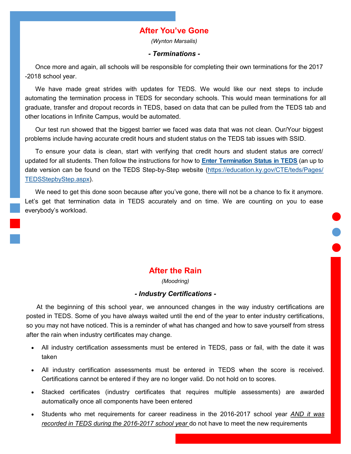## **After You've Gone**

*(Wynton Marsalis)*

### *- Terminations -*

<span id="page-1-0"></span>Once more and again, all schools will be responsible for completing their own terminations for the 2017 -2018 school year.

We have made great strides with updates for TEDS. We would like our next steps to include automating the termination process in TEDS for secondary schools. This would mean terminations for all graduate, transfer and dropout records in TEDS, based on data that can be pulled from the TEDS tab and other locations in Infinite Campus, would be automated.

Our test run showed that the biggest barrier we faced was data that was not clean. Our/Your biggest problems include having accurate credit hours and student status on the TEDS tab issues with SSID.

To ensure your data is clean, start with verifying that credit hours and student status are correct/ updated for all students. Then follow the instructions for how to **Enter [Termination](https://education.ky.gov/CTE/teds/Documents/Enter_Term_Stat.pdf) Status in TEDS** (an up to date version can be found on the TEDS Step-by-Step website ([https://education.ky.gov/CTE/teds/Pages/](https://education.ky.gov/CTE/teds/Pages/TEDSStepbyStep.aspx) [TEDSStepbyStep.aspx\).](https://education.ky.gov/CTE/teds/Pages/TEDSStepbyStep.aspx)

We need to get this done soon because after you've gone, there will not be a chance to fix it anymore. Let's get that termination data in TEDS accurately and on time. We are counting on you to ease everybody's workload.

# **After the Rain**

*(Moodring)*

### *- Industry Certifications -*

At the beginning of this school year, we announced changes in the way industry certifications are posted in TEDS. Some of you have always waited until the end of the year to enter industry certifications, so you may not have noticed. This is a reminder of what has changed and how to save yourself from stress after the rain when industry certificates may change.

- All industry certification assessments must be entered in TEDS, pass or fail, with the date it was taken
- All industry certification assessments must be entered in TEDS when the score is received. Certifications cannot be entered if they are no longer valid. Do not hold on to scores.
- Stacked certificates (industry certificates that requires multiple assessments) are awarded automatically once all components have been entered
- Students who met requirements for career readiness in the 2016-2017 school year *AND it was recorded in TEDS during the 2016-2017 school year* do not have to meet the new requirements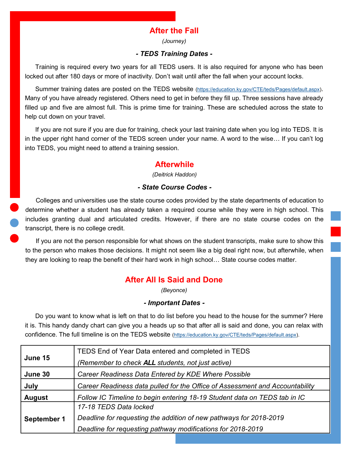# **After the Fall**

*(Journey)*

### *- TEDS Training Dates -*

<span id="page-2-0"></span>Training is required every two years for all TEDS users. It is also required for anyone who has been locked out after 180 days or more of inactivity. Don't wait until after the fall when your account locks.

Summer training dates are posted on the TEDS website [\(https://education.ky.gov/CTE/teds/Pages/default.aspx\)](https://education.ky.gov/CTE/teds/Pages/default.aspx). Many of you have already registered. Others need to get in before they fill up. Three sessions have already filled up and five are almost full. This is prime time for training. These are scheduled across the state to help cut down on your travel.

If you are not sure if you are due for training, check your last training date when you log into TEDS. It is in the upper right hand corner of the TEDS screen under your name. A word to the wise… If you can't log into TEDS, you might need to attend a training session.

## **Afterwhile**

*(Deitrick Haddon)*

### *- State Course Codes -*

Colleges and universities use the state course codes provided by the state departments of education to determine whether a student has already taken a required course while they were in high school. This includes granting dual and articulated credits. However, if there are no state course codes on the transcript, there is no college credit.

If you are not the person responsible for what shows on the student transcripts, make sure to show this to the person who makes those decisions. It might not seem like a big deal right now, but afterwhile, when they are looking to reap the benefit of their hard work in high school… State course codes matter.

# **After All Is Said and Done**

*(Beyonce)*

### *- Important Dates -*

Do you want to know what is left on that to do list before you head to the house for the summer? Here it is. This handy dandy chart can give you a heads up so that after all is said and done, you can relax with confidence. The full timeline is on the TEDS website ([https://education.ky.gov/CTE/teds/Pages/default.aspx\)](https://education.ky.gov/CTE/teds/Pages/default.aspx).

| June 15       | TEDS End of Year Data entered and completed in TEDS                          |
|---------------|------------------------------------------------------------------------------|
|               | (Remember to check ALL students, not just active)                            |
| June 30       | Career Readiness Data Entered by KDE Where Possible                          |
| July          | Career Readiness data pulled for the Office of Assessment and Accountability |
| <b>August</b> | Follow IC Timeline to begin entering 18-19 Student data on TEDS tab in IC    |
|               | 17-18 TEDS Data locked                                                       |
| September 1   | Deadline for requesting the addition of new pathways for 2018-2019           |
|               | Deadline for requesting pathway modifications for 2018-2019                  |